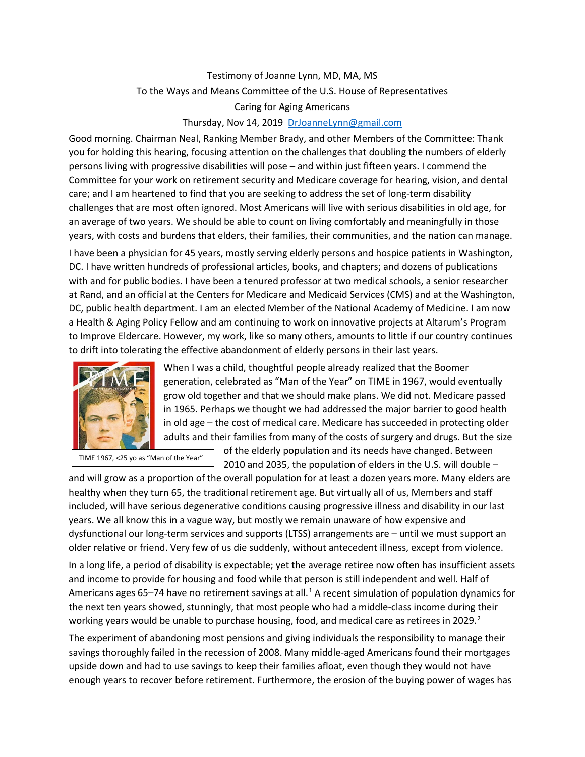# Testimony of Joanne Lynn, MD, MA, MS To the Ways and Means Committee of the U.S. House of Representatives Caring for Aging Americans

## Thursday, Nov 14, 2019 [DrJoanneLynn@gmail.com](mailto:DrJoanneLynn@gmail.com)

Good morning. Chairman Neal, Ranking Member Brady, and other Members of the Committee: Thank you for holding this hearing, focusing attention on the challenges that doubling the numbers of elderly persons living with progressive disabilities will pose – and within just fifteen years. I commend the Committee for your work on retirement security and Medicare coverage for hearing, vision, and dental care; and I am heartened to find that you are seeking to address the set of long-term disability challenges that are most often ignored. Most Americans will live with serious disabilities in old age, for an average of two years. We should be able to count on living comfortably and meaningfully in those years, with costs and burdens that elders, their families, their communities, and the nation can manage.

I have been a physician for 45 years, mostly serving elderly persons and hospice patients in Washington, DC. I have written hundreds of professional articles, books, and chapters; and dozens of publications with and for public bodies. I have been a tenured professor at two medical schools, a senior researcher at Rand, and an official at the Centers for Medicare and Medicaid Services (CMS) and at the Washington, DC, public health department. I am an elected Member of the National Academy of Medicine. I am now a Health & Aging Policy Fellow and am continuing to work on innovative projects at Altarum's Program to Improve Eldercare. However, my work, like so many others, amounts to little if our country continues to drift into tolerating the effective abandonment of elderly persons in their last years.



TIME 1967, <25 yo as "Man of the Year"

When I was a child, thoughtful people already realized that the Boomer generation, celebrated as "Man of the Year" on TIME in 1967, would eventually grow old together and that we should make plans. We did not. Medicare passed in 1965. Perhaps we thought we had addressed the major barrier to good health in old age – the cost of medical care. Medicare has succeeded in protecting older adults and their families from many of the costs of surgery and drugs. But the size

of the elderly population and its needs have changed. Between 2010 and 2035, the population of elders in the U.S. will double –

and will grow as a proportion of the overall population for at least a dozen years more. Many elders are healthy when they turn 65, the traditional retirement age. But virtually all of us, Members and staff included, will have serious degenerative conditions causing progressive illness and disability in our last years. We all know this in a vague way, but mostly we remain unaware of how expensive and dysfunctional our long-term services and supports (LTSS) arrangements are – until we must support an older relative or friend. Very few of us die suddenly, without antecedent illness, except from violence.

In a long life, a period of disability is expectable; yet the average retiree now often has insufficient assets and income to provide for housing and food while that person is still independent and well. Half of Americans ages 65–74 have no retirement savings at all.<sup>[1](#page-2-0)</sup> A recent simulation of population dynamics for the next ten years showed, stunningly, that most people who had a middle-class income during their working years would be unable to purchase housing, food, and medical care as retirees in [2](#page-2-1)029.<sup>2</sup>

The experiment of abandoning most pensions and giving individuals the responsibility to manage their savings thoroughly failed in the recession of 2008. Many middle-aged Americans found their mortgages upside down and had to use savings to keep their families afloat, even though they would not have enough years to recover before retirement. Furthermore, the erosion of the buying power of wages has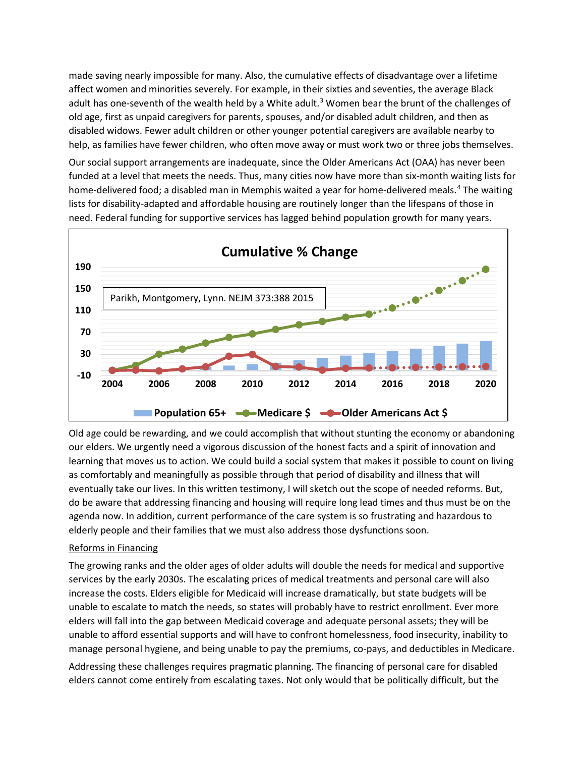made saving nearly impossible for many. Also, the cumulative effects of disadvantage over a lifetime affect women and minorities severely. For example, in their sixties and seventies, the average Black adult has one-seventh of the wealth held by a White adult.<sup>[3](#page-2-2)</sup> Women bear the brunt of the challenges of old age, first as unpaid caregivers for parents, spouses, and/or disabled adult children, and then as disabled widows. Fewer adult children or other younger potential caregivers are available nearby to help, as families have fewer children, who often move away or must work two or three jobs themselves.

Our social support arrangements are inadequate, since the Older Americans Act (OAA) has never been funded at a level that meets the needs. Thus, many cities now have more than six-month waiting lists for home-delivered food; a disabled man in Memphis waited a year for home-delivered meals.<sup>[4](#page-2-3)</sup> The waiting lists for disability-adapted and affordable housing are routinely longer than the lifespans of those in need. Federal funding for supportive services has lagged behind population growth for many years.



Old age could be rewarding, and we could accomplish that without stunting the economy or abandoning our elders. We urgently need a vigorous discussion of the honest facts and a spirit of innovation and learning that moves us to action. We could build a social system that makes it possible to count on living as comfortably and meaningfully as possible through that period of disability and illness that will eventually take our lives. In this written testimony, I will sketch out the scope of needed reforms. But, do be aware that addressing financing and housing will require long lead times and thus must be on the agenda now. In addition, current performance of the care system is so frustrating and hazardous to elderly people and their families that we must also address those dysfunctions soon.

## Reforms in Financing

The growing ranks and the older ages of older adults will double the needs for medical and supportive services by the early 2030s. The escalating prices of medical treatments and personal care will also increase the costs. Elders eligible for Medicaid will increase dramatically, but state budgets will be unable to escalate to match the needs, so states will probably have to restrict enrollment. Ever more elders will fall into the gap between Medicaid coverage and adequate personal assets; they will be unable to afford essential supports and will have to confront homelessness, food insecurity, inability to manage personal hygiene, and being unable to pay the premiums, co-pays, and deductibles in Medicare. Addressing these challenges requires pragmatic planning. The financing of personal care for disabled elders cannot come entirely from escalating taxes. Not only would that be politically difficult, but the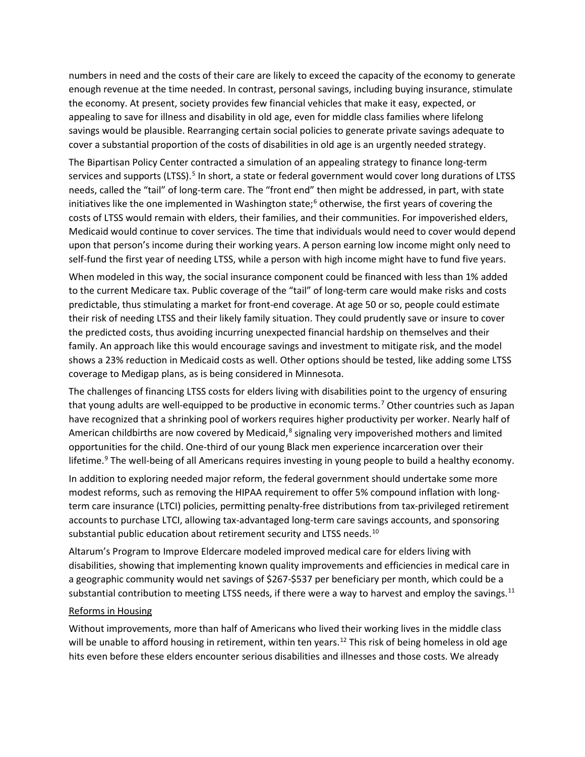numbers in need and the costs of their care are likely to exceed the capacity of the economy to generate enough revenue at the time needed. In contrast, personal savings, including buying insurance, stimulate the economy. At present, society provides few financial vehicles that make it easy, expected, or appealing to save for illness and disability in old age, even for middle class families where lifelong savings would be plausible. Rearranging certain social policies to generate private savings adequate to cover a substantial proportion of the costs of disabilities in old age is an urgently needed strategy.

<span id="page-2-3"></span><span id="page-2-2"></span><span id="page-2-1"></span><span id="page-2-0"></span>The Bipartisan Policy Center contracted a simulation of an appealing strategy to finance long-term services and supports (LTSS).<sup>[5](#page-2-4)</sup> In short, a state or federal government would cover long durations of LTSS needs, called the "tail" of long-term care. The "front end" then might be addressed, in part, with state initiatives like the one implemented in Washington state;<sup>[6](#page-2-5)</sup> otherwise, the first years of covering the costs of LTSS would remain with elders, their families, and their communities. For impoverished elders, Medicaid would continue to cover services. The time that individuals would need to cover would depend upon that person's income during their working years. A person earning low income might only need to self-fund the first year of needing LTSS, while a person with high income might have to fund five years.

<span id="page-2-8"></span><span id="page-2-7"></span><span id="page-2-6"></span><span id="page-2-5"></span><span id="page-2-4"></span>When modeled in this way, the social insurance component could be financed with less than 1% added to the current Medicare tax. Public coverage of the "tail" of long-term care would make risks and costs predictable, thus stimulating a market for front-end coverage. At age 50 or so, people could estimate their risk of needing LTSS and their likely family situation. They could prudently save or insure to cover the predicted costs, thus avoiding incurring unexpected financial hardship on themselves and their family. An approach like this would encourage savings and investment to mitigate risk, and the model shows a 23% reduction in Medicaid costs as well. Other options should be tested, like adding some LTSS coverage to Medigap plans, as is being considered in Minnesota.

<span id="page-2-14"></span><span id="page-2-13"></span><span id="page-2-12"></span><span id="page-2-11"></span><span id="page-2-10"></span><span id="page-2-9"></span>The challenges of financing LTSS costs for elders living with disabilities point to the urgency of ensuring that young adults are well-equipped to be productive in economic terms.<sup>[7](#page-2-6)</sup> Other countries such as Japan have recognized that a shrinking pool of workers requires higher productivity per worker. Nearly half of American childbirths are now covered by Medicaid, $8$  signaling very impoverished mothers and limited opportunities for the child. One-third of our young Black men experience incarceration over their lifetime.<sup>[9](#page-2-8)</sup> The well-being of all Americans requires investing in young people to build a healthy economy.

<span id="page-2-17"></span><span id="page-2-16"></span><span id="page-2-15"></span>In addition to exploring needed major reform, the federal government should undertake some more modest reforms, such as removing the HIPAA requirement to offer 5% compound inflation with longterm care insurance (LTCI) policies, permitting penalty-free distributions from tax-privileged retirement accounts to purchase LTCI, allowing tax-advantaged long-term care savings accounts, and sponsoring substantial public education about retirement security and LTSS needs.<sup>[10](#page-2-9)</sup>

<span id="page-2-20"></span><span id="page-2-19"></span><span id="page-2-18"></span>Altarum's Program to Improve Eldercare modeled improved medical care for elders living with disabilities, showing that implementing known quality improvements and efficiencies in medical care in a geographic community would net savings of \$267-\$537 per beneficiary per month, which could be a substantial contribution to meeting LTSS needs, if there were a way to harvest and employ the savings.<sup>[11](#page-2-10)</sup>

## <span id="page-2-22"></span><span id="page-2-21"></span>Reforms in Housing

<span id="page-2-23"></span>Without improvements, more than half of Americans who lived their working lives in the middle class will be unable to afford housing in retirement, within ten years.<sup>[12](#page-2-11)</sup> This risk of being homeless in old age hits even before these elders encounter serious disabilities and illnesses and those costs. We already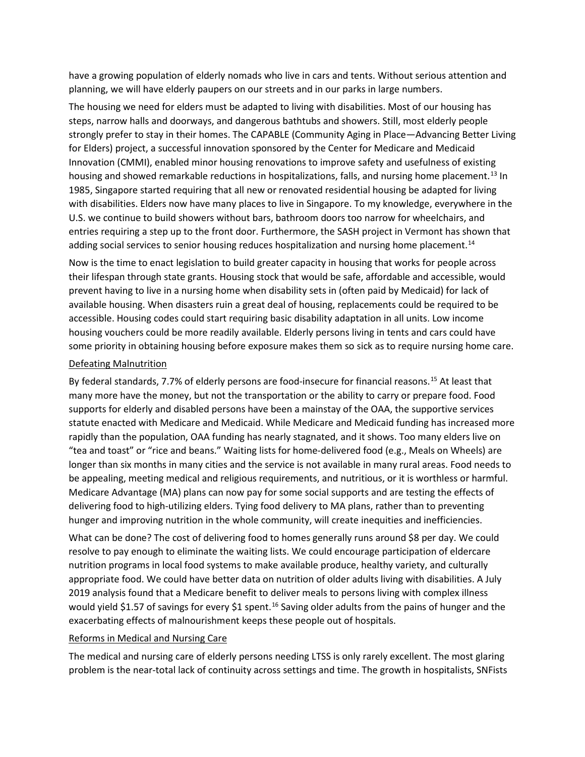have a growing population of elderly nomads who live in cars and tents. Without serious attention and planning, we will have elderly paupers on our streets and in our parks in large numbers.

The housing we need for elders must be adapted to living with disabilities. Most of our housing has steps, narrow halls and doorways, and dangerous bathtubs and showers. Still, most elderly people strongly prefer to stay in their homes. The CAPABLE (Community Aging in Place—Advancing Better Living for Elders) project, a successful innovation sponsored by the Center for Medicare and Medicaid Innovation (CMMI), enabled minor housing renovations to improve safety and usefulness of existing housing and showed remarkable reductions in hospitalizations, falls, and nursing home placement.<sup>[13](#page-2-12)</sup> In 1985, Singapore started requiring that all new or renovated residential housing be adapted for living with disabilities. Elders now have many places to live in Singapore. To my knowledge, everywhere in the U.S. we continue to build showers without bars, bathroom doors too narrow for wheelchairs, and entries requiring a step up to the front door. Furthermore, the SASH project in Vermont has shown that adding social services to senior housing reduces hospitalization and nursing home placement.<sup>[14](#page-2-13)</sup>

Now is the time to enact legislation to build greater capacity in housing that works for people across their lifespan through state grants. Housing stock that would be safe, affordable and accessible, would prevent having to live in a nursing home when disability sets in (often paid by Medicaid) for lack of available housing. When disasters ruin a great deal of housing, replacements could be required to be accessible. Housing codes could start requiring basic disability adaptation in all units. Low income housing vouchers could be more readily available. Elderly persons living in tents and cars could have some priority in obtaining housing before exposure makes them so sick as to require nursing home care.

## Defeating Malnutrition

By federal standards, 7.7% of elderly persons are food-insecure for financial reasons.<sup>[15](#page-2-14)</sup> At least that many more have the money, but not the transportation or the ability to carry or prepare food. Food supports for elderly and disabled persons have been a mainstay of the OAA, the supportive services statute enacted with Medicare and Medicaid. While Medicare and Medicaid funding has increased more rapidly than the population, OAA funding has nearly stagnated, and it shows. Too many elders live on "tea and toast" or "rice and beans." Waiting lists for home-delivered food (e.g., Meals on Wheels) are longer than six months in many cities and the service is not available in many rural areas. Food needs to be appealing, meeting medical and religious requirements, and nutritious, or it is worthless or harmful. Medicare Advantage (MA) plans can now pay for some social supports and are testing the effects of delivering food to high-utilizing elders. Tying food delivery to MA plans, rather than to preventing hunger and improving nutrition in the whole community, will create inequities and inefficiencies.

What can be done? The cost of delivering food to homes generally runs around \$8 per day. We could resolve to pay enough to eliminate the waiting lists. We could encourage participation of eldercare nutrition programs in local food systems to make available produce, healthy variety, and culturally appropriate food. We could have better data on nutrition of older adults living with disabilities. A July 2019 analysis found that a Medicare benefit to deliver meals to persons living with complex illness would yield \$1.57 of savings for every \$1 spent.<sup>[16](#page-2-15)</sup> Saving older adults from the pains of hunger and the exacerbating effects of malnourishment keeps these people out of hospitals.

#### Reforms in Medical and Nursing Care

The medical and nursing care of elderly persons needing LTSS is only rarely excellent. The most glaring problem is the near-total lack of continuity across settings and time. The growth in hospitalists, SNFists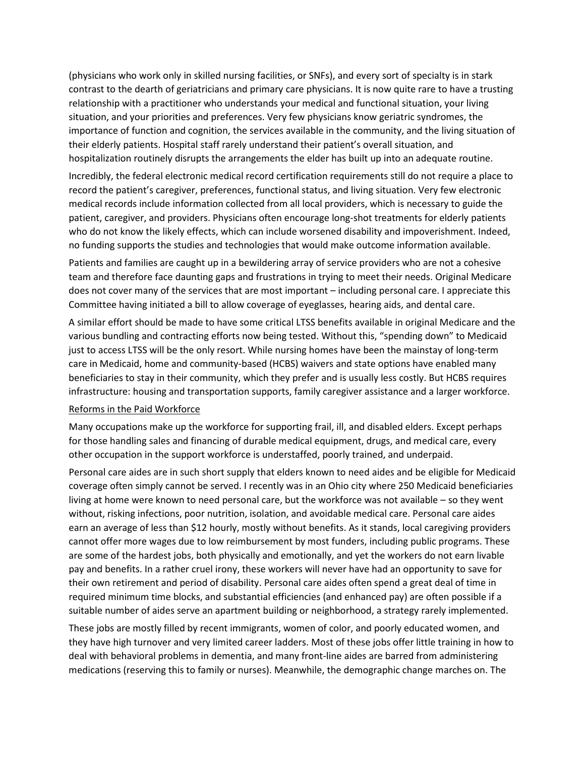(physicians who work only in skilled nursing facilities, or SNFs), and every sort of specialty is in stark contrast to the dearth of geriatricians and primary care physicians. It is now quite rare to have a trusting relationship with a practitioner who understands your medical and functional situation, your living situation, and your priorities and preferences. Very few physicians know geriatric syndromes, the importance of function and cognition, the services available in the community, and the living situation of their elderly patients. Hospital staff rarely understand their patient's overall situation, and hospitalization routinely disrupts the arrangements the elder has built up into an adequate routine.

Incredibly, the federal electronic medical record certification requirements still do not require a place to record the patient's caregiver, preferences, functional status, and living situation. Very few electronic medical records include information collected from all local providers, which is necessary to guide the patient, caregiver, and providers. Physicians often encourage long-shot treatments for elderly patients who do not know the likely effects, which can include worsened disability and impoverishment. Indeed, no funding supports the studies and technologies that would make outcome information available.

Patients and families are caught up in a bewildering array of service providers who are not a cohesive team and therefore face daunting gaps and frustrations in trying to meet their needs. Original Medicare does not cover many of the services that are most important – including personal care. I appreciate this Committee having initiated a bill to allow coverage of eyeglasses, hearing aids, and dental care.

A similar effort should be made to have some critical LTSS benefits available in original Medicare and the various bundling and contracting efforts now being tested. Without this, "spending down" to Medicaid just to access LTSS will be the only resort. While nursing homes have been the mainstay of long-term care in Medicaid, home and community-based (HCBS) waivers and state options have enabled many beneficiaries to stay in their community, which they prefer and is usually less costly. But HCBS requires infrastructure: housing and transportation supports, family caregiver assistance and a larger workforce.

#### Reforms in the Paid Workforce

Many occupations make up the workforce for supporting frail, ill, and disabled elders. Except perhaps for those handling sales and financing of durable medical equipment, drugs, and medical care, every other occupation in the support workforce is understaffed, poorly trained, and underpaid.

Personal care aides are in such short supply that elders known to need aides and be eligible for Medicaid coverage often simply cannot be served. I recently was in an Ohio city where 250 Medicaid beneficiaries living at home were known to need personal care, but the workforce was not available – so they went without, risking infections, poor nutrition, isolation, and avoidable medical care. Personal care aides earn an average of less than \$12 hourly, mostly without benefits. As it stands, local caregiving providers cannot offer more wages due to low reimbursement by most funders, including public programs. These are some of the hardest jobs, both physically and emotionally, and yet the workers do not earn livable pay and benefits. In a rather cruel irony, these workers will never have had an opportunity to save for their own retirement and period of disability. Personal care aides often spend a great deal of time in required minimum time blocks, and substantial efficiencies (and enhanced pay) are often possible if a suitable number of aides serve an apartment building or neighborhood, a strategy rarely implemented.

These jobs are mostly filled by recent immigrants, women of color, and poorly educated women, and they have high turnover and very limited career ladders. Most of these jobs offer little training in how to deal with behavioral problems in dementia, and many front-line aides are barred from administering medications (reserving this to family or nurses). Meanwhile, the demographic change marches on. The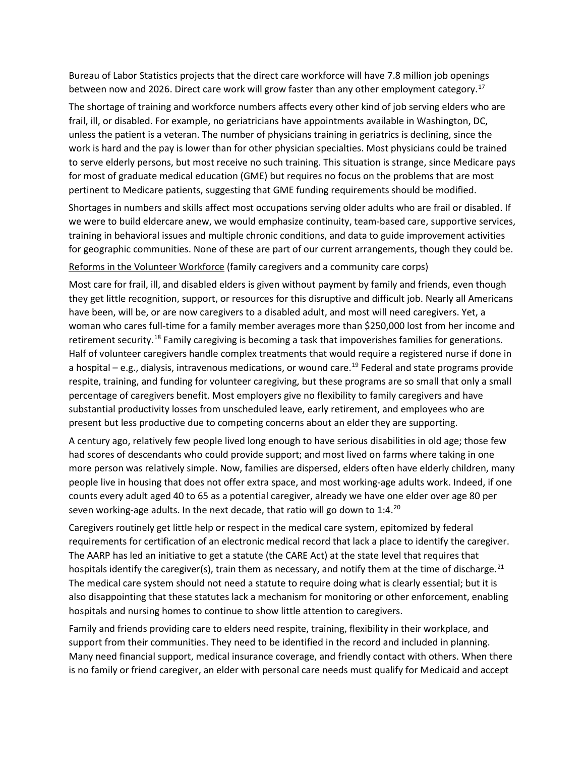Bureau of Labor Statistics projects that the direct care workforce will have 7.8 million job openings between now and 2026. Direct care work will grow faster than any other employment category.<sup>[17](#page-2-16)</sup>

The shortage of training and workforce numbers affects every other kind of job serving elders who are frail, ill, or disabled. For example, no geriatricians have appointments available in Washington, DC, unless the patient is a veteran. The number of physicians training in geriatrics is declining, since the work is hard and the pay is lower than for other physician specialties. Most physicians could be trained to serve elderly persons, but most receive no such training. This situation is strange, since Medicare pays for most of graduate medical education (GME) but requires no focus on the problems that are most pertinent to Medicare patients, suggesting that GME funding requirements should be modified.

Shortages in numbers and skills affect most occupations serving older adults who are frail or disabled. If we were to build eldercare anew, we would emphasize continuity, team-based care, supportive services, training in behavioral issues and multiple chronic conditions, and data to guide improvement activities for geographic communities. None of these are part of our current arrangements, though they could be.

## Reforms in the Volunteer Workforce (family caregivers and a community care corps)

Most care for frail, ill, and disabled elders is given without payment by family and friends, even though they get little recognition, support, or resources for this disruptive and difficult job. Nearly all Americans have been, will be, or are now caregivers to a disabled adult, and most will need caregivers. Yet, a woman who cares full-time for a family member averages more than \$250,000 lost from her income and retirement security.[18](#page-2-17) Family caregiving is becoming a task that impoverishes families for generations. Half of volunteer caregivers handle complex treatments that would require a registered nurse if done in a hospital – e.g., dialysis, intravenous medications, or wound care.<sup>[19](#page-2-18)</sup> Federal and state programs provide respite, training, and funding for volunteer caregiving, but these programs are so small that only a small percentage of caregivers benefit. Most employers give no flexibility to family caregivers and have substantial productivity losses from unscheduled leave, early retirement, and employees who are present but less productive due to competing concerns about an elder they are supporting.

A century ago, relatively few people lived long enough to have serious disabilities in old age; those few had scores of descendants who could provide support; and most lived on farms where taking in one more person was relatively simple. Now, families are dispersed, elders often have elderly children, many people live in housing that does not offer extra space, and most working-age adults work. Indeed, if one counts every adult aged 40 to 65 as a potential caregiver, already we have one elder over age 80 per seven working-age adults. In the next decade, that ratio will go down to 1:4.<sup>[20](#page-2-19)</sup>

Caregivers routinely get little help or respect in the medical care system, epitomized by federal requirements for certification of an electronic medical record that lack a place to identify the caregiver. The AARP has led an initiative to get a statute (the CARE Act) at the state level that requires that hospitals identify the caregiver(s), train them as necessary, and notify them at the time of discharge.<sup>[21](#page-2-20)</sup> The medical care system should not need a statute to require doing what is clearly essential; but it is also disappointing that these statutes lack a mechanism for monitoring or other enforcement, enabling hospitals and nursing homes to continue to show little attention to caregivers.

Family and friends providing care to elders need respite, training, flexibility in their workplace, and support from their communities. They need to be identified in the record and included in planning. Many need financial support, medical insurance coverage, and friendly contact with others. When there is no family or friend caregiver, an elder with personal care needs must qualify for Medicaid and accept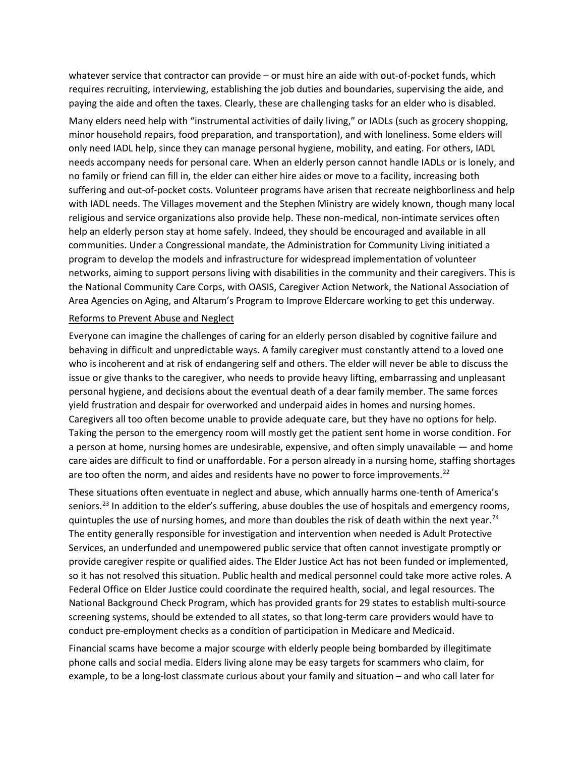whatever service that contractor can provide – or must hire an aide with out-of-pocket funds, which requires recruiting, interviewing, establishing the job duties and boundaries, supervising the aide, and paying the aide and often the taxes. Clearly, these are challenging tasks for an elder who is disabled.

Many elders need help with "instrumental activities of daily living," or IADLs (such as grocery shopping, minor household repairs, food preparation, and transportation), and with loneliness. Some elders will only need IADL help, since they can manage personal hygiene, mobility, and eating. For others, IADL needs accompany needs for personal care. When an elderly person cannot handle IADLs or is lonely, and no family or friend can fill in, the elder can either hire aides or move to a facility, increasing both suffering and out-of-pocket costs. Volunteer programs have arisen that recreate neighborliness and help with IADL needs. The Villages movement and the Stephen Ministry are widely known, though many local religious and service organizations also provide help. These non-medical, non-intimate services often help an elderly person stay at home safely. Indeed, they should be encouraged and available in all communities. Under a Congressional mandate, the Administration for Community Living initiated a program to develop the models and infrastructure for widespread implementation of volunteer networks, aiming to support persons living with disabilities in the community and their caregivers. This is the National Community Care Corps, with OASIS, Caregiver Action Network, the National Association of Area Agencies on Aging, and Altarum's Program to Improve Eldercare working to get this underway.

#### Reforms to Prevent Abuse and Neglect

Everyone can imagine the challenges of caring for an elderly person disabled by cognitive failure and behaving in difficult and unpredictable ways. A family caregiver must constantly attend to a loved one who is incoherent and at risk of endangering self and others. The elder will never be able to discuss the issue or give thanks to the caregiver, who needs to provide heavy lifting, embarrassing and unpleasant personal hygiene, and decisions about the eventual death of a dear family member. The same forces yield frustration and despair for overworked and underpaid aides in homes and nursing homes. Caregivers all too often become unable to provide adequate care, but they have no options for help. Taking the person to the emergency room will mostly get the patient sent home in worse condition. For a person at home, nursing homes are undesirable, expensive, and often simply unavailable — and home care aides are difficult to find or unaffordable. For a person already in a nursing home, staffing shortages are too often the norm, and aides and residents have no power to force improvements.<sup>[22](#page-2-21)</sup>

These situations often eventuate in neglect and abuse, which annually harms one-tenth of America's seniors.<sup>[23](#page-2-22)</sup> In addition to the elder's suffering, abuse doubles the use of hospitals and emergency rooms, quintuples the use of nursing homes, and more than doubles the risk of death within the next year.<sup>24</sup> The entity generally responsible for investigation and intervention when needed is Adult Protective Services, an underfunded and unempowered public service that often cannot investigate promptly or provide caregiver respite or qualified aides. The Elder Justice Act has not been funded or implemented, so it has not resolved this situation. Public health and medical personnel could take more active roles. A Federal Office on Elder Justice could coordinate the required health, social, and legal resources. The National Background Check Program, which has provided grants for 29 states to establish multi-source screening systems, should be extended to all states, so that long-term care providers would have to conduct pre-employment checks as a condition of participation in Medicare and Medicaid.

Financial scams have become a major scourge with elderly people being bombarded by illegitimate phone calls and social media. Elders living alone may be easy targets for scammers who claim, for example, to be a long-lost classmate curious about your family and situation – and who call later for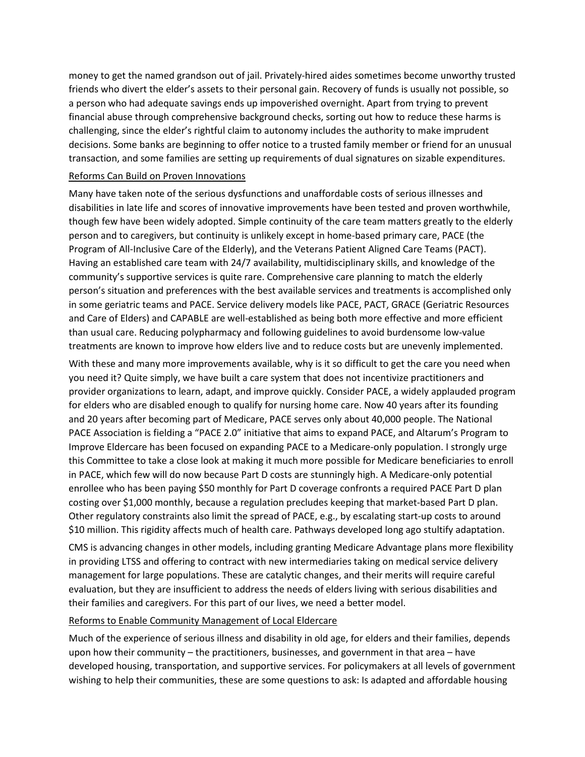money to get the named grandson out of jail. Privately-hired aides sometimes become unworthy trusted friends who divert the elder's assets to their personal gain. Recovery of funds is usually not possible, so a person who had adequate savings ends up impoverished overnight. Apart from trying to prevent financial abuse through comprehensive background checks, sorting out how to reduce these harms is challenging, since the elder's rightful claim to autonomy includes the authority to make imprudent decisions. Some banks are beginning to offer notice to a trusted family member or friend for an unusual transaction, and some families are setting up requirements of dual signatures on sizable expenditures.

### Reforms Can Build on Proven Innovations

Many have taken note of the serious dysfunctions and unaffordable costs of serious illnesses and disabilities in late life and scores of innovative improvements have been tested and proven worthwhile, though few have been widely adopted. Simple continuity of the care team matters greatly to the elderly person and to caregivers, but continuity is unlikely except in home-based primary care, PACE (the Program of All-Inclusive Care of the Elderly), and the Veterans Patient Aligned Care Teams (PACT). Having an established care team with 24/7 availability, multidisciplinary skills, and knowledge of the community's supportive services is quite rare. Comprehensive care planning to match the elderly person's situation and preferences with the best available services and treatments is accomplished only in some geriatric teams and PACE. Service delivery models like PACE, PACT, GRACE (Geriatric Resources and Care of Elders) and CAPABLE are well-established as being both more effective and more efficient than usual care. Reducing polypharmacy and following guidelines to avoid burdensome low-value treatments are known to improve how elders live and to reduce costs but are unevenly implemented.

With these and many more improvements available, why is it so difficult to get the care you need when you need it? Quite simply, we have built a care system that does not incentivize practitioners and provider organizations to learn, adapt, and improve quickly. Consider PACE, a widely applauded program for elders who are disabled enough to qualify for nursing home care. Now 40 years after its founding and 20 years after becoming part of Medicare, PACE serves only about 40,000 people. The National PACE Association is fielding a "PACE 2.0" initiative that aims to expand PACE, and Altarum's Program to Improve Eldercare has been focused on expanding PACE to a Medicare-only population. I strongly urge this Committee to take a close look at making it much more possible for Medicare beneficiaries to enroll in PACE, which few will do now because Part D costs are stunningly high. A Medicare-only potential enrollee who has been paying \$50 monthly for Part D coverage confronts a required PACE Part D plan costing over \$1,000 monthly, because a regulation precludes keeping that market-based Part D plan. Other regulatory constraints also limit the spread of PACE, e.g., by escalating start-up costs to around \$10 million. This rigidity affects much of health care. Pathways developed long ago stultify adaptation.

CMS is advancing changes in other models, including granting Medicare Advantage plans more flexibility in providing LTSS and offering to contract with new intermediaries taking on medical service delivery management for large populations. These are catalytic changes, and their merits will require careful evaluation, but they are insufficient to address the needs of elders living with serious disabilities and their families and caregivers. For this part of our lives, we need a better model.

## Reforms to Enable Community Management of Local Eldercare

Much of the experience of serious illness and disability in old age, for elders and their families, depends upon how their community – the practitioners, businesses, and government in that area – have developed housing, transportation, and supportive services. For policymakers at all levels of government wishing to help their communities, these are some questions to ask: Is adapted and affordable housing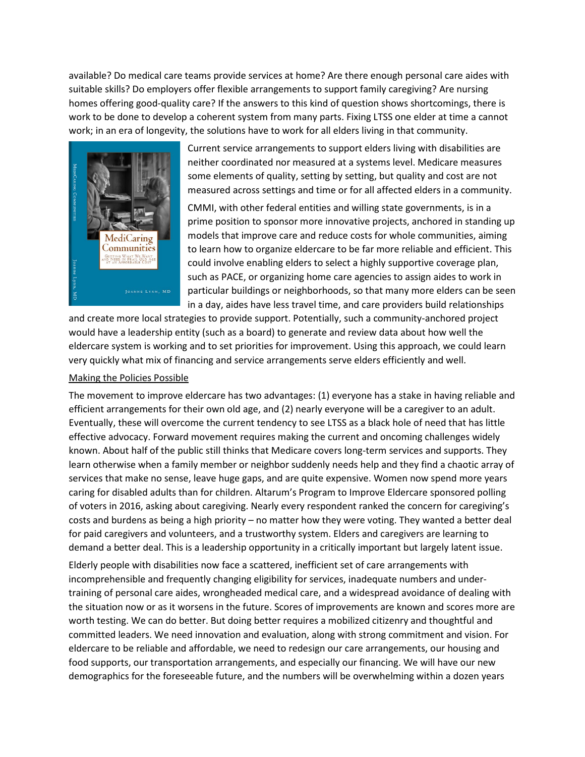available? Do medical care teams provide services at home? Are there enough personal care aides with suitable skills? Do employers offer flexible arrangements to support family caregiving? Are nursing homes offering good-quality care? If the answers to this kind of question shows shortcomings, there is work to be done to develop a coherent system from many parts. Fixing LTSS one elder at time a cannot work; in an era of longevity, the solutions have to work for all elders living in that community.



Current service arrangements to support elders living with disabilities are neither coordinated nor measured at a systems level. Medicare measures some elements of quality, setting by setting, but quality and cost are not measured across settings and time or for all affected elders in a community.

CMMI, with other federal entities and willing state governments, is in a prime position to sponsor more innovative projects, anchored in standing up models that improve care and reduce costs for whole communities, aiming to learn how to organize eldercare to be far more reliable and efficient. This could involve enabling elders to select a highly supportive coverage plan, such as PACE, or organizing home care agencies to assign aides to work in particular buildings or neighborhoods, so that many more elders can be seen in a day, aides have less travel time, and care providers build relationships

and create more local strategies to provide support. Potentially, such a community-anchored project would have a leadership entity (such as a board) to generate and review data about how well the eldercare system is working and to set priorities for improvement. Using this approach, we could learn very quickly what mix of financing and service arrangements serve elders efficiently and well.

## Making the Policies Possible

The movement to improve eldercare has two advantages: (1) everyone has a stake in having reliable and efficient arrangements for their own old age, and (2) nearly everyone will be a caregiver to an adult. Eventually, these will overcome the current tendency to see LTSS as a black hole of need that has little effective advocacy. Forward movement requires making the current and oncoming challenges widely known. About half of the public still thinks that Medicare covers long-term services and supports. They learn otherwise when a family member or neighbor suddenly needs help and they find a chaotic array of services that make no sense, leave huge gaps, and are quite expensive. Women now spend more years caring for disabled adults than for children. Altarum's Program to Improve Eldercare sponsored polling of voters in 2016, asking about caregiving. Nearly every respondent ranked the concern for caregiving's costs and burdens as being a high priority – no matter how they were voting. They wanted a better deal for paid caregivers and volunteers, and a trustworthy system. Elders and caregivers are learning to demand a better deal. This is a leadership opportunity in a critically important but largely latent issue.

Elderly people with disabilities now face a scattered, inefficient set of care arrangements with incomprehensible and frequently changing eligibility for services, inadequate numbers and undertraining of personal care aides, wrongheaded medical care, and a widespread avoidance of dealing with the situation now or as it worsens in the future. Scores of improvements are known and scores more are worth testing. We can do better. But doing better requires a mobilized citizenry and thoughtful and committed leaders. We need innovation and evaluation, along with strong commitment and vision. For eldercare to be reliable and affordable, we need to redesign our care arrangements, our housing and food supports, our transportation arrangements, and especially our financing. We will have our new demographics for the foreseeable future, and the numbers will be overwhelming within a dozen years